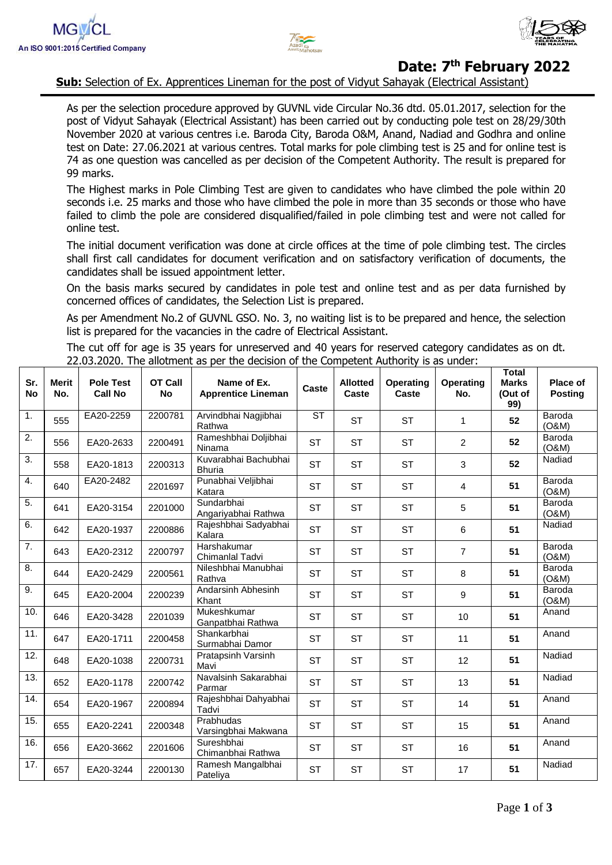



## **Date: 7 th February 2022**

**Sub:** Selection of Ex. Apprentices Lineman for the post of Vidyut Sahayak (Electrical Assistant)

As per the selection procedure approved by GUVNL vide Circular No.36 dtd. 05.01.2017, selection for the post of Vidyut Sahayak (Electrical Assistant) has been carried out by conducting pole test on 28/29/30th November 2020 at various centres i.e. Baroda City, Baroda O&M, Anand, Nadiad and Godhra and online test on Date: 27.06.2021 at various centres. Total marks for pole climbing test is 25 and for online test is 74 as one question was cancelled as per decision of the Competent Authority. The result is prepared for 99 marks.

The Highest marks in Pole Climbing Test are given to candidates who have climbed the pole within 20 seconds i.e. 25 marks and those who have climbed the pole in more than 35 seconds or those who have failed to climb the pole are considered disqualified/failed in pole climbing test and were not called for online test.

The initial document verification was done at circle offices at the time of pole climbing test. The circles shall first call candidates for document verification and on satisfactory verification of documents, the candidates shall be issued appointment letter.

On the basis marks secured by candidates in pole test and online test and as per data furnished by concerned offices of candidates, the Selection List is prepared.

As per Amendment No.2 of GUVNL GSO. No. 3, no waiting list is to be prepared and hence, the selection list is prepared for the vacancies in the cadre of Electrical Assistant.

The cut off for age is 35 years for unreserved and 40 years for reserved category candidates as on dt. 22.03.2020. The allotment as per the decision of the Competent Authority is as under:

| Sr.<br><b>No</b> | <b>Merit</b><br>No. | <b>Pole Test</b><br><b>Call No</b> | <b>OT Call</b><br><b>No</b> | Name of Ex.<br><b>Apprentice Lineman</b> | <b>Caste</b> | <b>Allotted</b><br>Caste | Operating<br>Caste | <b>Operating</b><br>No. | <b>Total</b><br><b>Marks</b><br>(Out of<br>99) | Place of<br><b>Posting</b> |
|------------------|---------------------|------------------------------------|-----------------------------|------------------------------------------|--------------|--------------------------|--------------------|-------------------------|------------------------------------------------|----------------------------|
| 1.               | 555                 | EA20-2259                          | 2200781                     | Arvindbhai Nagjibhai<br>Rathwa           | <b>ST</b>    | <b>ST</b>                | <b>ST</b>          | $\mathbf{1}$            | 52                                             | Baroda<br>(O&M)            |
| $\overline{2}$ . | 556                 | EA20-2633                          | 2200491                     | Rameshbhai Doljibhai<br>Ninama           | <b>ST</b>    | <b>ST</b>                | <b>ST</b>          | $\overline{2}$          | 52                                             | Baroda<br>(O&M)            |
| 3.               | 558                 | EA20-1813                          | 2200313                     | Kuvarabhai Bachubhai<br><b>Bhuria</b>    | <b>ST</b>    | <b>ST</b>                | <b>ST</b>          | 3                       | 52                                             | Nadiad                     |
| 4.               | 640                 | EA20-2482                          | 2201697                     | Punabhai Veljibhai<br>Katara             | <b>ST</b>    | <b>ST</b>                | <b>ST</b>          | 4                       | 51                                             | Baroda<br>(O&M)            |
| 5.               | 641                 | EA20-3154                          | 2201000                     | Sundarbhai<br>Angariyabhai Rathwa        | <b>ST</b>    | <b>ST</b>                | <b>ST</b>          | 5                       | 51                                             | Baroda<br>(O&M)            |
| 6.               | 642                 | EA20-1937                          | 2200886                     | Rajeshbhai Sadyabhai<br>Kalara           | <b>ST</b>    | <b>ST</b>                | <b>ST</b>          | 6                       | 51                                             | Nadiad                     |
| 7.               | 643                 | EA20-2312                          | 2200797                     | Harshakumar<br>Chimanlal Tadvi           | <b>ST</b>    | <b>ST</b>                | <b>ST</b>          | $\overline{7}$          | 51                                             | Baroda<br>(O&M)            |
| 8.               | 644                 | EA20-2429                          | 2200561                     | Nileshbhai Manubhai<br>Rathva            | <b>ST</b>    | <b>ST</b>                | <b>ST</b>          | 8                       | 51                                             | Baroda<br>(O&M)            |
| 9.               | 645                 | EA20-2004                          | 2200239                     | Andarsinh Abhesinh<br>Khant              | <b>ST</b>    | <b>ST</b>                | <b>ST</b>          | 9                       | 51                                             | Baroda<br>(O&M)            |
| 10.              | 646                 | EA20-3428                          | 2201039                     | Mukeshkumar<br>Ganpatbhai Rathwa         | <b>ST</b>    | <b>ST</b>                | <b>ST</b>          | 10                      | 51                                             | Anand                      |
| 11.              | 647                 | EA20-1711                          | 2200458                     | Shankarbhai<br>Surmabhai Damor           | <b>ST</b>    | <b>ST</b>                | <b>ST</b>          | 11                      | 51                                             | Anand                      |
| 12.              | 648                 | EA20-1038                          | 2200731                     | Pratapsinh Varsinh<br>Mavi               | <b>ST</b>    | <b>ST</b>                | <b>ST</b>          | 12                      | 51                                             | Nadiad                     |
| 13.              | 652                 | EA20-1178                          | 2200742                     | Navalsinh Sakarabhai<br>Parmar           | <b>ST</b>    | <b>ST</b>                | <b>ST</b>          | 13                      | 51                                             | Nadiad                     |
| 14.              | 654                 | EA20-1967                          | 2200894                     | Rajeshbhai Dahyabhai<br>Tadvi            | <b>ST</b>    | <b>ST</b>                | <b>ST</b>          | 14                      | 51                                             | Anand                      |
| 15.              | 655                 | EA20-2241                          | 2200348                     | Prabhudas<br>Varsingbhai Makwana         | <b>ST</b>    | <b>ST</b>                | <b>ST</b>          | 15                      | 51                                             | Anand                      |
| 16.              | 656                 | EA20-3662                          | 2201606                     | Sureshbhai<br>Chimanbhai Rathwa          | <b>ST</b>    | <b>ST</b>                | <b>ST</b>          | 16                      | 51                                             | Anand                      |
| 17.              | 657                 | EA20-3244                          | 2200130                     | Ramesh Mangalbhai<br>Pateliya            | <b>ST</b>    | <b>ST</b>                | <b>ST</b>          | 17                      | 51                                             | Nadiad                     |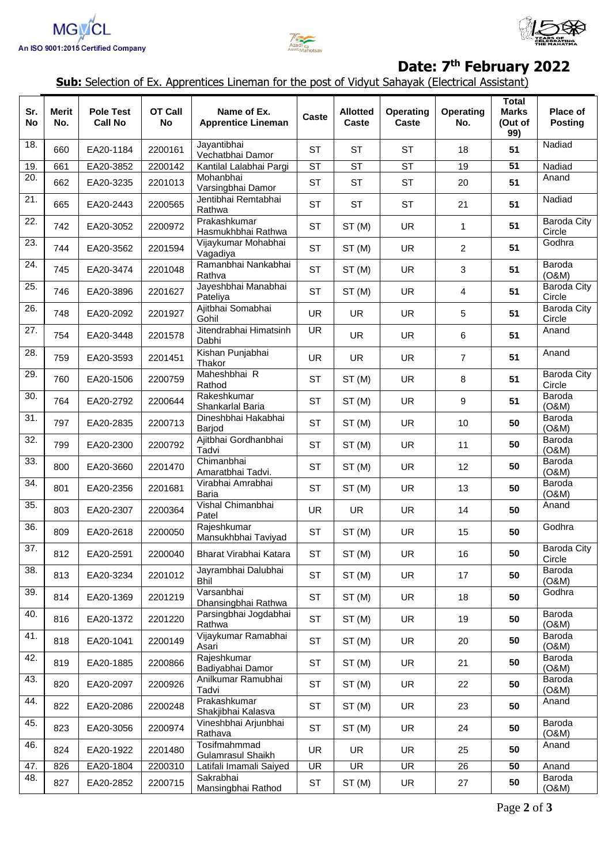





## **Date: 7 th February 2022**

**Sub:** Selection of Ex. Apprentices Lineman for the post of Vidyut Sahayak (Electrical Assistant)

| Sr.<br><b>No</b>  | <b>Merit</b><br>No. | <b>Pole Test</b><br><b>Call No</b> | <b>OT Call</b><br><b>No</b> | Name of Ex.<br><b>Apprentice Lineman</b> | Caste     | <b>Allotted</b><br>Caste | <b>Operating</b><br>Caste | <b>Operating</b><br>No. | <b>Total</b><br><b>Marks</b><br>(Out of<br>99) | <b>Place of</b><br><b>Posting</b> |
|-------------------|---------------------|------------------------------------|-----------------------------|------------------------------------------|-----------|--------------------------|---------------------------|-------------------------|------------------------------------------------|-----------------------------------|
| 18.               | 660                 | EA20-1184                          | 2200161                     | Jayantibhai<br>Vechatbhai Damor          | <b>ST</b> | <b>ST</b>                | <b>ST</b>                 | 18                      | 51                                             | Nadiad                            |
| 19.               | 661                 | EA20-3852                          | 2200142                     | Kantilal Lalabhai Pargi                  | <b>ST</b> | <b>ST</b>                | ST                        | 19                      | 51                                             | Nadiad                            |
| $\overline{20}$ . | 662                 | EA20-3235                          | 2201013                     | Mohanbhai<br>Varsingbhai Damor           | <b>ST</b> | <b>ST</b>                | <b>ST</b>                 | 20                      | 51                                             | Anand                             |
| 21.               | 665                 | EA20-2443                          | 2200565                     | Jentibhai Remtabhai<br>Rathwa            | <b>ST</b> | <b>ST</b>                | <b>ST</b>                 | 21                      | 51                                             | Nadiad                            |
| 22.               | 742                 | EA20-3052                          | 2200972                     | Prakashkumar<br>Hasmukhbhai Rathwa       | <b>ST</b> | ST(M)                    | <b>UR</b>                 | 1                       | 51                                             | <b>Baroda City</b><br>Circle      |
| 23.               | 744                 | EA20-3562                          | 2201594                     | Vijaykumar Mohabhai<br>Vagadiya          | <b>ST</b> | ST(M)                    | <b>UR</b>                 | $\overline{2}$          | 51                                             | Godhra                            |
| 24.               | 745                 | EA20-3474                          | 2201048                     | Ramanbhai Nankabhai<br>Rathva            | <b>ST</b> | ST(M)                    | <b>UR</b>                 | $\mathbf{3}$            | 51                                             | Baroda<br>(O&M)                   |
| 25.               | 746                 | EA20-3896                          | 2201627                     | Jayeshbhai Manabhai<br>Pateliya          | <b>ST</b> | ST(M)                    | <b>UR</b>                 | 4                       | 51                                             | Baroda City<br>Circle             |
| 26.               | 748                 | EA20-2092                          | 2201927                     | Ajitbhai Somabhai<br>Gohil               | <b>UR</b> | <b>UR</b>                | <b>UR</b>                 | 5                       | 51                                             | Baroda City<br>Circle             |
| 27.               | 754                 | EA20-3448                          | 2201578                     | Jitendrabhai Himatsinh<br>Dabhi          | <b>UR</b> | <b>UR</b>                | <b>UR</b>                 | 6                       | 51                                             | Anand                             |
| 28.               | 759                 | EA20-3593                          | 2201451                     | Kishan Punjabhai<br>Thakor               | <b>UR</b> | <b>UR</b>                | <b>UR</b>                 | $\overline{7}$          | 51                                             | Anand                             |
| 29.               | 760                 | EA20-1506                          | 2200759                     | Maheshbhai R<br>Rathod                   | <b>ST</b> | ST(M)                    | <b>UR</b>                 | 8                       | 51                                             | <b>Baroda City</b><br>Circle      |
| 30.               | 764                 | EA20-2792                          | 2200644                     | Rakeshkumar<br>Shankarlal Baria          | <b>ST</b> | ST(M)                    | <b>UR</b>                 | 9                       | 51                                             | Baroda<br>(O&M)                   |
| 31.               | 797                 | EA20-2835                          | 2200713                     | Dineshbhai Hakabhai<br>Barjod            | <b>ST</b> | ST(M)                    | <b>UR</b>                 | 10                      | 50                                             | Baroda<br>(O&M)                   |
| 32.               | 799                 | EA20-2300                          | 2200792                     | Ajitbhai Gordhanbhai<br>Tadvi            | <b>ST</b> | ST(M)                    | <b>UR</b>                 | 11                      | 50                                             | Baroda<br>(O&M)                   |
| 33.               | 800                 | EA20-3660                          | 2201470                     | Chimanbhai<br>Amaratbhai Tadvi.          | <b>ST</b> | ST(M)                    | <b>UR</b>                 | 12                      | 50                                             | Baroda<br>(O&M)                   |
| 34.               | 801                 | EA20-2356                          | 2201681                     | Virabhai Amrabhai<br>Baria               | <b>ST</b> | ST(M)                    | <b>UR</b>                 | 13                      | 50                                             | Baroda<br>(O&M)                   |
| 35.               | 803                 | EA20-2307                          | 2200364                     | Vishal Chimanbhai<br>Patel               | <b>UR</b> | <b>UR</b>                | <b>UR</b>                 | 14                      | 50                                             | Anand                             |
| 36.               | 809                 | EA20-2618                          | 2200050                     | Rajeshkumar<br>Mansukhbhai Taviyad       | <b>ST</b> | ST(M)                    | <b>UR</b>                 | 15                      | 50                                             | Godhra                            |
| 37.               | 812                 | EA20-2591                          | 2200040                     | Bharat Virabhai Katara                   | ST        | ST(M)                    | UR                        | $16$                    | 50                                             | Baroda City<br>Circle             |
| 38.               | 813                 | EA20-3234                          | 2201012                     | Jayrambhai Dalubhai<br><b>Bhil</b>       | <b>ST</b> | ST(M)                    | UR                        | 17                      | 50                                             | Baroda<br>(O&M)                   |
| 39.               | 814                 | EA20-1369                          | 2201219                     | Varsanbhai<br>Dhansingbhai Rathwa        | <b>ST</b> | ST(M)                    | <b>UR</b>                 | 18                      | 50                                             | Godhra                            |
| 40.               | 816                 | EA20-1372                          | 2201220                     | Parsingbhai Jogdabhai<br>Rathwa          | <b>ST</b> | ST(M)                    | <b>UR</b>                 | 19                      | 50                                             | Baroda<br>(O&M)                   |
| 41.               | 818                 | EA20-1041                          | 2200149                     | Vijaykumar Ramabhai<br>Asari             | <b>ST</b> | ST(M)                    | <b>UR</b>                 | 20                      | 50                                             | Baroda<br>(O&M)                   |
| 42.               | 819                 | EA20-1885                          | 2200866                     | Rajeshkumar<br>Badiyabhai Damor          | <b>ST</b> | ST(M)                    | <b>UR</b>                 | 21                      | 50                                             | Baroda<br>(O&M)                   |
| 43.               | 820                 | EA20-2097                          | 2200926                     | Anilkumar Ramubhai<br>Tadvi              | <b>ST</b> | ST(M)                    | <b>UR</b>                 | 22                      | 50                                             | Baroda<br>(O&M)                   |
| 44.               | 822                 | EA20-2086                          | 2200248                     | Prakashkumar<br>Shakjibhai Kalasva       | <b>ST</b> | ST(M)                    | <b>UR</b>                 | 23                      | 50                                             | Anand                             |
| 45.               | 823                 | EA20-3056                          | 2200974                     | Vineshbhai Arjunbhai<br>Rathava          | <b>ST</b> | ST(M)                    | <b>UR</b>                 | 24                      | 50                                             | Baroda<br>(O&M)                   |
| 46.               | 824                 | EA20-1922                          | 2201480                     | Tosifmahmmad<br>Gulamrasul Shaikh        | UR        | <b>UR</b>                | <b>UR</b>                 | 25                      | 50                                             | Anand                             |
| 47.               | 826                 | EA20-1804                          | 2200310                     | Latifali Imamali Saiyed                  | UR        | $\overline{\mathsf{UR}}$ | <b>UR</b>                 | 26                      | 50                                             | Anand                             |
| 48.               | 827                 | EA20-2852                          | 2200715                     | Sakrabhai<br>Mansingbhai Rathod          | ST        | ST(M)                    | UR                        | 27                      | 50                                             | Baroda<br>(O&M)                   |